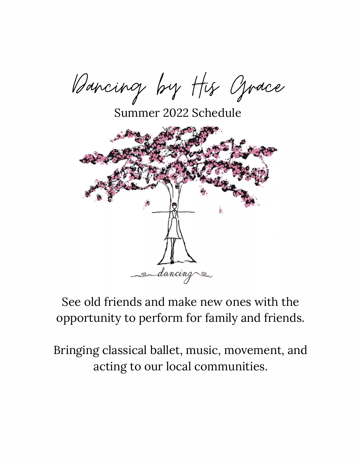Dancing by His Grace

Summer 2022 Schedule



# See old friends and make new ones with the opportunity to perform for family and friends.

Bringing classical ballet, music, movement, and acting to our local communities.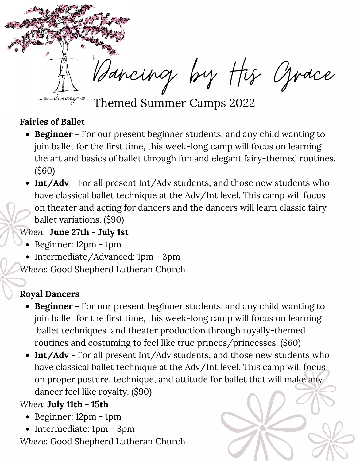

Themed Summer Camps 2022

#### **Fairies of Ballet**

- **Beginner** For our present beginner students, and any child wanting to join ballet for the first time, this week-long camp will focus on learning the art and basics of ballet through fun and elegant fairy-themed routines. (\$60)
- **Int/Adv** For all present Int/Adv students, and those new students who have classical ballet technique at the Adv/Int level. This camp will focus on theater and acting for dancers and the dancers will learn classic fairy ballet variations. (\$90)

### *When*: **June 27th - July 1st**

- Beginner: 12pm 1pm
- Intermediate/Advanced: 1pm 3pm

*Where*: Good Shepherd Lutheran Church

### **Royal Dancers**

- **Beginner -** For our present beginner students, and any child wanting to join ballet for the first time, this week-long camp will focus on learning ballet techniques and theater production through royally-themed routines and costuming to feel like true princes/princesses. (\$60)
- **Int/Adv -** For all present Int/Adv students, and those new students who have classical ballet technique at the Adv/Int level. This camp will focus on proper posture, technique, and attitude for ballet that will make any dancer feel like royalty. (\$90)

## *When*: **July 11th - 15th**

- Beginner: 12pm 1pm
- Intermediate: 1pm 3pm *Where*: Good Shepherd Lutheran Church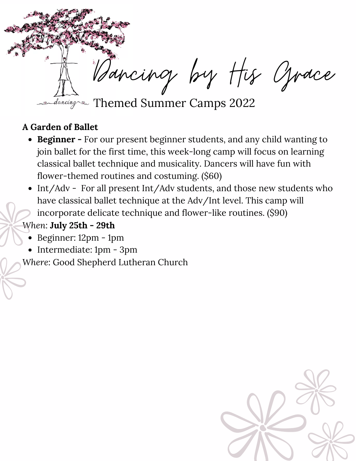

#### **A Garden of Ballet**

- **Beginner -** For our present beginner students, and any child wanting to join ballet for the first time, this week-long camp will focus on learning classical ballet technique and musicality. Dancers will have fun with flower-themed routines and costuming. (\$60)
- Int/Adv For all present Int/Adv students, and those new students who have classical ballet technique at the Adv/Int level. This camp will incorporate delicate technique and flower-like routines. (\$90)
- *When*: **July 25th - 29th**
	- Beginner: 12pm 1pm
	- Intermediate: 1pm 3pm

*Where*: Good Shepherd Lutheran Church